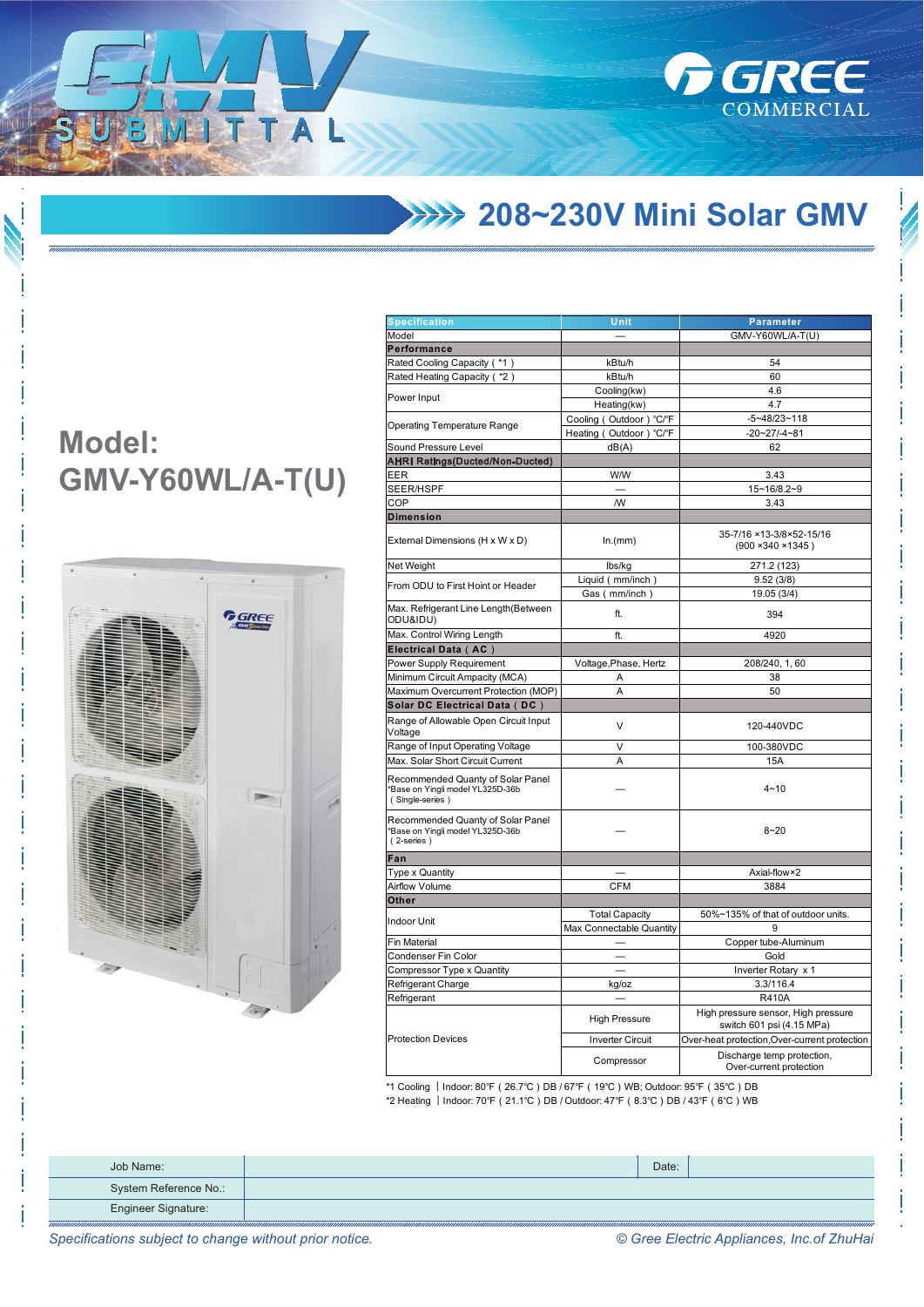**208~230V Mini Solar GMV** 

**GREE** 

COMMERCIAL

## **Model: GMV-Y60WL/A-T(U)**

ITTA



| <b>Specification</b>                                                                     | Unit                                              | Parameter                                                        |  |
|------------------------------------------------------------------------------------------|---------------------------------------------------|------------------------------------------------------------------|--|
| Model                                                                                    |                                                   | GMV-Y60WL/A-T(U)                                                 |  |
| Performance                                                                              |                                                   |                                                                  |  |
| Rated Cooling Capacity ( *1)                                                             | kBtu/h                                            | 54                                                               |  |
| Rated Heating Capacity ( *2)                                                             | kBtu/h                                            | 60                                                               |  |
|                                                                                          | Cooling(kw)                                       | 4.6                                                              |  |
| Power Input                                                                              | Heating(kw)                                       | 4.7                                                              |  |
|                                                                                          | Cooling (Outdoor) °C/°F                           | $-5 - 48/23 - 118$                                               |  |
| <b>Operating Temperature Range</b>                                                       | Heating (Outdoor) °C/°F                           | $-20 - 27 - 4 - 81$                                              |  |
| Sound Pressure Level                                                                     | dB(A)                                             | 62                                                               |  |
| <b>AHRI Ratings(Ducted/Non-Ducted)</b>                                                   |                                                   |                                                                  |  |
| EER                                                                                      | <b>W/W</b>                                        | 3.43                                                             |  |
| SEER/HSPF                                                                                |                                                   | 15~16/8.2~9                                                      |  |
| COP                                                                                      | W                                                 | 3.43                                                             |  |
| <b>Dimension</b>                                                                         |                                                   |                                                                  |  |
| External Dimensions (H x W x D)                                                          | ln.(mm)                                           | 35-7/16 ×13-3/8×52-15/16<br>$(900 \times 340 \times 1345)$       |  |
| Net Weight                                                                               | lbs/kg                                            | 271.2 (123)                                                      |  |
|                                                                                          | Liquid (mm/inch)                                  | 9.52(3/8)                                                        |  |
| From ODU to First Hoint or Header                                                        | Gas (mm/inch)                                     | 19.05 (3/4)                                                      |  |
| Max. Refrigerant Line Length (Between<br>ODU&IDU)                                        | ft.                                               | 394                                                              |  |
| Max. Control Wiring Length                                                               | ft.                                               | 4920                                                             |  |
| Electrical Data (AC)                                                                     |                                                   |                                                                  |  |
| Power Supply Requirement                                                                 | Voltage, Phase, Hertz                             | 208/240, 1, 60                                                   |  |
| Minimum Circuit Ampacity (MCA)                                                           | Α                                                 | 38                                                               |  |
| Maximum Overcurrent Protection (MOP)                                                     | Α                                                 | 50                                                               |  |
| Solar DC Electrical Data (DC)                                                            |                                                   |                                                                  |  |
| Range of Allowable Open Circuit Input<br>Voltage                                         | V                                                 | 120-440VDC                                                       |  |
| Range of Input Operating Voltage                                                         | V                                                 | 100-380VDC                                                       |  |
| Max. Solar Short Circuit Current                                                         | Α                                                 | 15A                                                              |  |
| Recommended Quanty of Solar Panel<br>*Base on Yingli model YL325D-36b<br>(Single-series) |                                                   | $4 - 10$                                                         |  |
| Recommended Quanty of Solar Panel<br>*Base on Yingli model YL325D-36b<br>(2-series)      |                                                   | $8 - 20$                                                         |  |
| Fan                                                                                      |                                                   |                                                                  |  |
| <b>Type x Quantity</b>                                                                   |                                                   | Axial-flow×2                                                     |  |
| <b>Airflow Volume</b>                                                                    | <b>CFM</b>                                        | 3884                                                             |  |
| Other                                                                                    |                                                   |                                                                  |  |
| <b>Indoor Unit</b>                                                                       | <b>Total Capacity</b><br>Max Connectable Quantity | 50%~135% of that of outdoor units.<br>g                          |  |
| <b>Fin Material</b>                                                                      |                                                   | Copper tube-Aluminum                                             |  |
| Condenser Fin Color                                                                      |                                                   | Gold                                                             |  |
| Compressor Type x Quantity                                                               |                                                   | Inverter Rotary x 1                                              |  |
| Refrigerant Charge                                                                       | kg/oz                                             | 3.3/116.4                                                        |  |
| Refrigerant                                                                              |                                                   | <b>R410A</b>                                                     |  |
|                                                                                          | <b>High Pressure</b>                              | High pressure sensor, High pressure<br>switch 601 psi (4.15 MPa) |  |
| <b>Protection Devices</b>                                                                | <b>Inverter Circuit</b>                           | Over-heat protection, Over-current protection                    |  |
|                                                                                          | Compressor                                        | Discharge temp protection,<br>Over-current protection            |  |
|                                                                                          |                                                   |                                                                  |  |

\*1 Cooling | Indoor: 80°F ( 26.7°C ) DB / 67°F ( 19°C ) WB; Outdoor: 95°F ( 35°C ) DB \*2 Heating | Indoor: 70°F (21.1°C) DB / Outdoor: 47°F (8.3°C) DB / 43°F (6°C) WB

| Job Name:                  | Date: |  |
|----------------------------|-------|--|
| System Reference No.:      |       |  |
| <b>Engineer Signature:</b> |       |  |

*Specifications subject to change without prior notice. © Gree Electric Appliances, Inc.of ZhuHai*